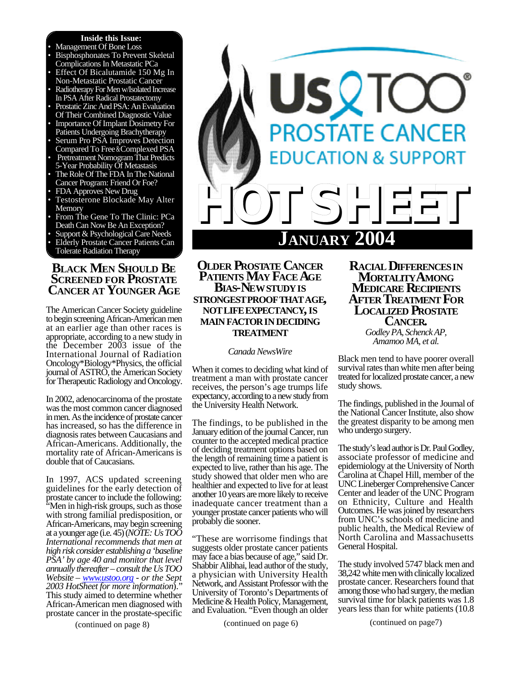#### **Inside this Issue:**

- Management Of Bone Loss
- Bisphosphonates To Prevent Skeletal Complications In Metastatic PCa
- Effect Of Bicalutamide 150 Mg In Non-Metastatic Prostatic Cancer
- Radiotherapy For Men w/Isolated Increase
- In PSA After Radical Prostatectomy • Prostatic Zinc And PSA: An Evaluation
- Of Their Combined Diagnostic Value • Importance Of Implant Dosimetry For
- Patients Undergoing Brachytherapy Serum Pro PSA Improves Detection
- Compared To Free & Complexed PSA • Pretreatment Nomogram That Predicts
- 5-Year Probability Of Metastasis
- The Role Of The FDA In The National Cancer Program: Friend Or Foe?
- FDA Approves New Drug
- Testosterone Blockade May Alter **Memory**
- From The Gene To The Clinic: PCa Death Can Now Be An Exception?
- Support & Psychological Care Needs
- Elderly Prostate Cancer Patients Can Tolerate Radiation Therapy

# **BLACK MEN SHOULD BE SCREENED FOR PROSTATE CANCER AT YOUNGER AGE**

The American Cancer Society guideline to begin screening African-American men at an earlier age than other races is appropriate, according to a new study in the December 2003 issue of the International Journal of Radiation Oncology\*Biology\*Physics, the official journal of ASTRO, the American Society for Therapeutic Radiology and Oncology.

In 2002, adenocarcinoma of the prostate was the most common cancer diagnosed in men. As the incidence of prostate cancer has increased, so has the difference in diagnosis rates between Caucasians and African-Americans. Additionally, the mortality rate of African-Americans is double that of Caucasians.

In 1997, ACS updated screening guidelines for the early detection of prostate cancer to include the following: <sup>t</sup>Men in high-risk groups, such as those with strong familial predisposition, or African-Americans, may begin screening at a younger age (i.e. 45) (*NOTE: Us TOO International recommends that men at high risk consider establishing a 'baseline PSA' by age 40 and monitor that level annually thereafter – consult the Us TOO Website – www.ustoo.org - or the Sept 2003 HotSheet for more information*)." This study aimed to determine whether African-American men diagnosed with prostate cancer in the prostate-specific

(continued on page 8)



**OLDER PROSTATE CANCER PATIENTS MAY FACE AGE BIAS-NEWSTUDYIS STRONGESTPROOFTHATAGE, NOTLIFEEXPECTANCY, IS MAIN FACTORINDECIDING TREATMENT**

#### *Canada NewsWire*

When it comes to deciding what kind of treatment a man with prostate cancer receives, the person's age trumps life expectancy, according to a new study from the University Health Network.

The findings, to be published in the January edition of the journal Cancer, run counter to the accepted medical practice of deciding treatment options based on the length of remaining time a patient is expected to live, rather than his age. The study showed that older men who are healthier and expected to live for at least another 10 years are more likely to receive inadequate cancer treatment than a younger prostate cancer patients who will probably die sooner.

"These are worrisome findings that suggests older prostate cancer patients may face a bias because of age," said Dr. Shabbir Alibhai, lead author of the study, a physician with University Health Network, and Assistant Professor with the University of Toronto's Departments of Medicine & Health Policy, Management, and Evaluation. "Even though an older

(continued on page 6)

## **RACIAL DIFFERENCESIN MORTALITYAMONG MEDICARE RECIPIENTS AFTER TREATMENT FOR LOCALIZED PROSTATE CANCER.** *Godley PA, Schenck AP,*

*Amamoo MA, et al.*

Black men tend to have poorer overall survival rates than white men after being treated for localized prostate cancer, a new study shows.

The findings, published in the Journal of the National Cancer Institute, also show the greatest disparity to be among men who undergo surgery.

The study's lead author is Dr. Paul Godley, associate professor of medicine and epidemiology at the University of North Carolina at Chapel Hill, member of the UNC Lineberger Comprehensive Cancer Center and leader of the UNC Program on Ethnicity, Culture and Health Outcomes. He was joined by researchers from UNC's schools of medicine and public health, the Medical Review of North Carolina and Massachusetts General Hospital.

The study involved 5747 black men and 38,242 white men with clinically localized prostate cancer. Researchers found that among those who had surgery, the median survival time for black patients was 1.8 years less than for white patients (10.8

(continued on page7)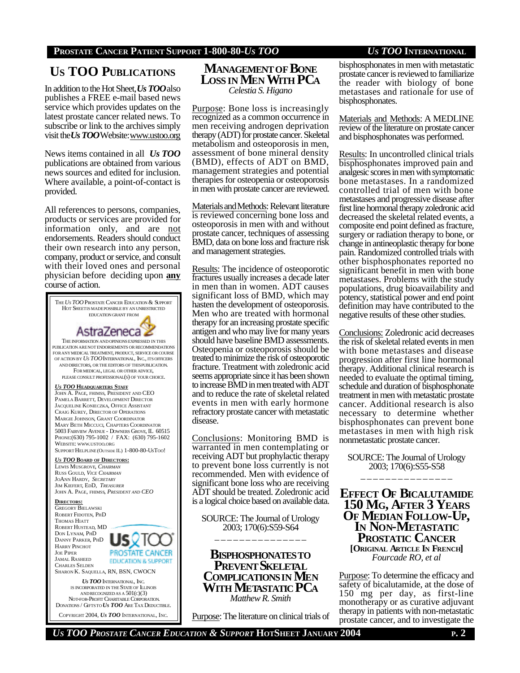# **US TOO PUBLICATIONS**

In addition to the Hot Sheet, *Us TOO*also publishes a FREE e-mail based news service which provides updates on the latest prostate cancer related news. To subscribe or link to the archives simply visit the *Us TOO* Website: www.ustoo.org

News items contained in all *Us TOO* publications are obtained from various news sources and edited for inclusion. Where available, a point-of-contact is provided.

All references to persons, companies, products or services are provided for information only, and are not endorsements. Readers should conduct their own research into any person, company, product or service, and consult with their loved ones and personal physician before deciding upon **any** course of action.

THE*US TOO* PROSTATE CANCER EDUCATION & SUPPORT HOT SHEETIS MADEPOSSIBLE BY AN UNRESTRICTED EDUCATION GRANT FROM AstraZeneca THE INFORMATION ANDOPINIONSEXPRESSED IN THIS PUBLICATION ARE NOT ENDORSEMENTS OR RECOMMENDATIONS FOR ANY MEDICAL TREATMENT, PRODUCT, SERVICE OR COURSE OF ACTION BY *US TOO* INTERNATIONAL, INC., ITS OFFICERS ANDDIRECTORS, ORTHE EDITORS OF THISPUBLICATION. FOR MEDICAL, LEGAL OR OTHER ADVICE, PLEASE CONSULT PROFESSIONAL(S) OF YOUR CHOICE. *US TOO* **HEADQUARTERS STAFF** JOHN A. PAGE, FHIMSS, PRESIDENT AND CEO PAMELA BARRETT, DEVELOPMENT DIRECTOR JACQUELINE KONIECZKA, OFFICE ASSISTANT CRAIG KUREY, DIRECTOR OF OPERATIONS MARGIE JOHNSON, GRANT COORDINATOR MARY BETH MICCUCI, CHAPTERS COORDINATOR 5003 FAIRVIEW AVENUE - DOWNERS GROVE, IL 60515 PHONE:(630) 795-1002 / FAX: (630) 795-1602 WEBSITE: WWW.USTOO.ORG SUPPORT HELPLINE(OUTSIDE IL) 1-800-80-USTOO! *US TOO* **BOARD OF DIRECTORS:** LEWIS MUSGROVE, *CHAIRMAN* RUSS GOULD, *VICE CHAIRMAN* JOANN HARDY, *SECRETARY* JIM KIEFERT, EDD, *TREASURER* JOHN A. PAGE, FHIMSS, *PRESIDENT AND CEO* **DIRECTORS: GREGORY BIELAWSKI** ROBERT FIDOTEN, PHD THOMAS HIATT ROBERT HUSTEAD, MD DON LYNAM, PHD DANNY PARKER, PHD HARRY PINCHOT PROSTATE CANCER JOE PIPER JAMAL RASHEED **EDUCATION & SUPPORT** CHARLES SELDEN SHARON K. SAQUELLA, RN, BSN, CWOCN *US TOO* INTERNATIONAL, INC. IS INCORPORATED IN THE STATEOF ILLINOIS ANDRECOGNIZED AS A  $501(c)(3)$ NOT-FOR-PROFIT CHARITABLE CORPORATION. DONATIONS / GIFTSTO *US TOO* ARE TAX DEDUCTIBLE.

COPYRIGHT 2004, *US TOO* INTERNATIONAL, INC.

## **MANAGEMENTOF BONE LOSS IN MEN WITH PCA** *Celestia S. Higano*

Purpose: Bone loss is increasingly recognized as a common occurrence in men receiving androgen deprivation therapy (ADT) for prostate cancer. Skeletal metabolism and osteoporosis in men, assessment of bone mineral density (BMD), effects of ADT on BMD, management strategies and potential therapies for osteopenia or osteoporosis in men with prostate cancer are reviewed.

Materials and Methods: Relevant literature is reviewed concerning bone loss and osteoporosis in men with and without prostate cancer, techniques of assessing BMD, data on bone loss and fracture risk and management strategies.

Results: The incidence of osteoporotic fractures usually increases a decade later in men than in women. ADT causes significant loss of BMD, which may hasten the development of osteoporosis. Men who are treated with hormonal therapy for an increasing prostate specific antigen and who may live for many years should have baseline BMD assessments. Osteopenia or osteoporosis should be treated to minimize the risk of osteoporotic fracture. Treatment with zoledronic acid seems appropriate since it has been shown to increase BMD in men treated with ADT and to reduce the rate of skeletal related events in men with early hormone refractory prostate cancer with metastatic disease.

Conclusions: Monitoring BMD is warranted in men contemplating or receiving ADT but prophylactic therapy to prevent bone loss currently is not recommended. Men with evidence of significant bone loss who are receiving ADT should be treated. Zoledronic acid is a logical choice based on available data.

SOURCE: The Journal of Urology 2003; 170(6):S59-S64 \_\_\_\_\_\_\_\_\_\_\_\_\_

**BISPHOSPHONATESTO PREVENT SKELETAL COMPLICATIONSIN MEN WITH METASTATIC PCA** *Matthew R. Smith*

Purpose: The literature on clinical trials of

bisphosphonates in men with metastatic prostate cancer is reviewed to familiarize the reader with biology of bone metastases and rationale for use of bisphosphonates.

Materials and Methods: A MEDLINE review of the literature on prostate cancer and bisphosphonates was performed.

Results: In uncontrolled clinical trials bisphosphonates improved pain and analgesic scores in men with symptomatic bone metastases. In a randomized controlled trial of men with bone metastases and progressive disease after first line hormonal therapy zoledronic acid decreased the skeletal related events, a composite end point defined as fracture, surgery or radiation therapy to bone, or change in antineoplastic therapy for bone pain. Randomized controlled trials with other bisphosphonates reported no significant benefit in men with bone metastases. Problems with the study populations, drug bioavailability and potency, statistical power and end point definition may have contributed to the negative results of these other studies.

Conclusions: Zoledronic acid decreases the risk of skeletal related events in men with bone metastases and disease progression after first line hormonal therapy. Additional clinical research is needed to evaluate the optimal timing, schedule and duration of bisphosphonate treatment in men with metastatic prostate cancer. Additional research is also necessary to determine whether bisphosphonates can prevent bone metastases in men with high risk nonmetastatic prostate cancer.

SOURCE: The Journal of Urology 2003; 170(6):S55-S58 \_ \_ \_ \_ \_ \_ \_ \_ \_ \_ \_ \_ \_ \_ \_

**EFFECT OF BICALUTAMIDE 150 MG, AFTER 3 YEARS OF MEDIAN FOLLOW-UP, IN NON-METASTATIC PROSTATIC CANCER [ORIGINAL ARTICLE IN FRENCH]** *Fourcade RO, et al*

Purpose: To determine the efficacy and safety of bicalutamide, at the dose of 150 mg per day, as first-line monotherapy or as curative adjuvant therapy in patients with non-metastatic prostate cancer, and to investigate the

*US TOO PROSTATE CANCER EDUCATION & SUPPORT* **HOTSHEET JANUARY 2004 P. 2**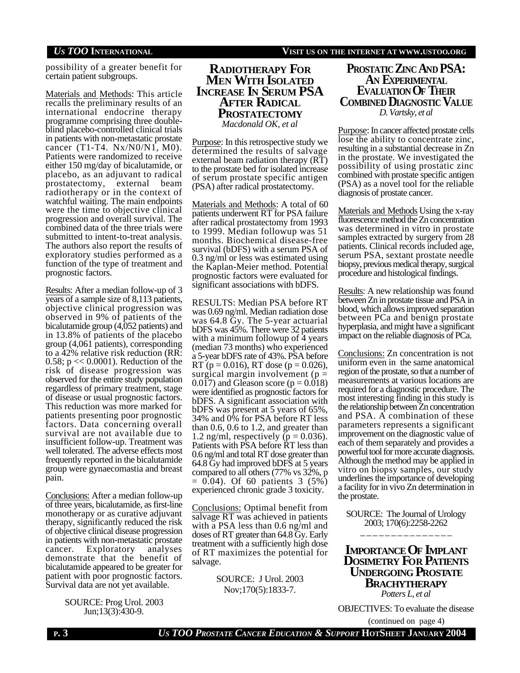possibility of a greater benefit for certain patient subgroups.

Materials and Methods: This article recalls the preliminary results of an international endocrine therapy programme comprising three doubleblind placebo-controlled clinical trials in patients with non-metastatic prostate cancer (T1-T4. Nx/N0/N1, M0). Patients were randomized to receive either 150 mg/day of bicalutamide, or placebo, as an adjuvant to radical prostatectomy, external beam radiotherapy or in the context of watchful waiting. The main endpoints were the time to objective clinical progression and overall survival. The combined data of the three trials were submitted to intent-to-treat analysis. The authors also report the results of exploratory studies performed as a function of the type of treatment and prognostic factors.

Results: After a median follow-up of 3 years of a sample size of 8,113 patients, objective clinical progression was observed in 9% of patients of the bicalutamide group (4,052 patients) and in 13.8% of patients of the placebo group (4,061 patients), corresponding to a 42% relative risk reduction (RR: 0.58;  $p \ll 0.0001$ ). Reduction of the risk of disease progression was observed for the entire study population regardless of primary treatment, stage of disease or usual prognostic factors. This reduction was more marked for patients presenting poor prognostic factors. Data concerning overall survival are not available due to insufficient follow-up. Treatment was well tolerated. The adverse effects most frequently reported in the bicalutamide group were gynaecomastia and breast pain.

Conclusions: After a median follow-up of three years, bicalutamide, as first-line monotherapy or as curative adjuvant therapy, significantly reduced the risk of objective clinical disease progression in patients with non-metastatic prostate cancer. Exploratory analyses demonstrate that the benefit of bicalutamide appeared to be greater for patient with poor prognostic factors. Survival data are not yet available.

> SOURCE: Prog Urol. 2003 Jun;13(3):430-9.

## **RADIOTHERAPY FOR MEN WITH ISOLATED INCREASE IN SERUM PSA AFTER RADICAL PROSTATECTOMY** *Macdonald OK, et al*

Purpose: In this retrospective study we determined the results of salvage external beam radiation therapy (RT) to the prostate bed for isolated increase of serum prostate specific antigen (PSA) after radical prostatectomy.

Materials and Methods: A total of 60 patients underwent RT for PSA failure after radical prostatectomy from 1993 to 1999. Median followup was 51 months. Biochemical disease-free survival (bDFS) with a serum PSA of 0.3 ng/ml or less was estimated using the Kaplan-Meier method. Potential prognostic factors were evaluated for significant associations with bDFS.

RESULTS: Median PSA before RT was 0.69 ng/ml. Median radiation dose was 64.8 Gy. The 5-year actuarial bDFS was 45%. There were 32 patients with a minimum followup of 4 years (median 73 months) who experienced a 5-year bDFS rate of 43%. PSA before RT ( $p = 0.016$ ), RT dose ( $p = 0.026$ ), surgical margin involvement ( $p =$ 0.017) and Gleason score ( $p = 0.018$ ) were identified as prognostic factors for bDFS. A significant association with bDFS was present at 5 years of 65%, 34% and 0% for PSA before RT less than 0.6, 0.6 to 1.2, and greater than 1.2 ng/ml, respectively ( $p = 0.036$ ). Patients with PSA before RT less than 0.6 ng/ml and total RT dose greater than 64.8 Gy had improved bDFS at 5 years compared to all others (77% vs 32%, p = 0.04). Of 60 patients 3 (5%) experienced chronic grade 3 toxicity.

Conclusions: Optimal benefit from salvage RT was achieved in patients with a PSA less than 0.6 ng/ml and doses of RT greater than 64.8 Gy. Early treatment with a sufficiently high dose of RT maximizes the potential for salvage.

> SOURCE: J Urol. 2003 Nov;170(5):1833-7.

#### *US TOO* **INTERNATIONAL VISIT US ON THE INTERNET AT WWW.USTOO.ORG**

## **PROSTATIC ZINC AND PSA: AN EXPERIMENTAL EVALUATION OF THEIR COMBINED DIAGNOSTIC VALUE** *D. Vartsky, et al*

Purpose: In cancer affected prostate cells lose the ability to concentrate zinc, resulting in a substantial decrease in Zn in the prostate. We investigated the possibility of using prostatic zinc combined with prostate specific antigen (PSA) as a novel tool for the reliable diagnosis of prostate cancer.

Materials and Methods Using the x-ray fluorescence method the Zn concentration was determined in vitro in prostate samples extracted by surgery from 28 patients. Clinical records included age, serum PSA, sextant prostate needle biopsy, previous medical therapy, surgical procedure and histological findings.

Results: A new relationship was found between Zn in prostate tissue and PSA in blood, which allows improved separation between PCa and benign prostate hyperplasia, and might have a significant impact on the reliable diagnosis of PCa.

Conclusions: Zn concentration is not uniform even in the same anatomical region of the prostate, so that a number of measurements at various locations are required for a diagnostic procedure. The most interesting finding in this study is the relationship between Zn concentration and PSA. A combination of these parameters represents a significant improvement on the diagnostic value of each of them separately and provides a powerful tool for more accurate diagnosis. Although the method may be applied in vitro on biopsy samples, our study underlines the importance of developing a facility for in vivo Zn determination in the prostate.

SOURCE: The Journal of Urology 2003; 170(6):2258-2262 \_ \_ \_ \_ \_ \_ \_ \_ \_ \_ \_ \_ \_ \_ \_

**IMPORTANCE OF IMPLANT DOSIMETRY FOR PATIENTS UNDERGOING PROSTATE BRACHYTHERAPY** *Potters L, et al*

OBJECTIVES: To evaluate the disease

(continued on page 4)

#### **P. 3** *US TOO PROSTATE CANCER EDUCATION & SUPPORT* **HOTSHEET JANUARY 2004**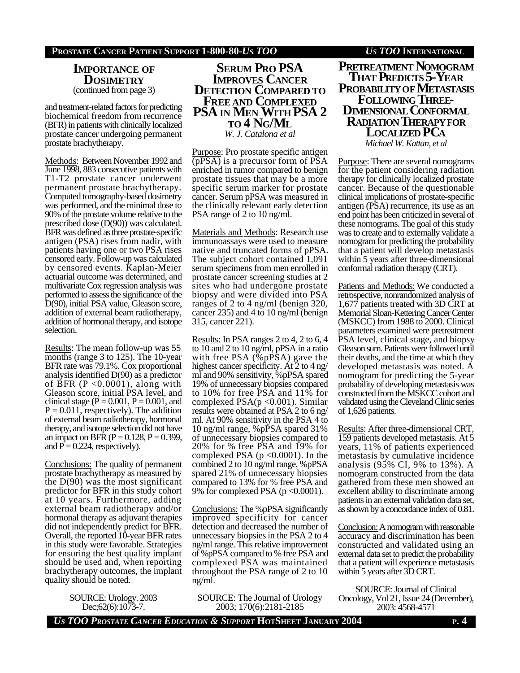**IMPORTANCE OF DOSIMETRY** (continued from page 3)

and treatment-related factors for predicting biochemical freedom from recurrence (BFR) in patients with clinically localized prostate cancer undergoing permanent prostate brachytherapy.

Methods: Between November 1992 and June 1998, 883 consecutive patients with T1-T2 prostate cancer underwent permanent prostate brachytherapy. Computed tomography-based dosimetry was performed, and the minimal dose to 90% of the prostate volume relative to the prescribed dose (D(90)) was calculated. BFR was defined as three prostate-specific antigen (PSA) rises from nadir, with patients having one or two PSA rises censored early. Follow-up was calculated by censored events. Kaplan-Meier actuarial outcome was determined, and multivariate Cox regression analysis was performed to assess the significance of the D(90), initial PSA value, Gleason score, addition of external beam radiotherapy, addition of hormonal therapy, and isotope selection.

Results: The mean follow-up was 55 months (range 3 to 125). The 10-year BFR rate was 79.1%. Cox proportional analysis identified D(90) as a predictor of BFR  $(P < 0.0001)$ , along with Gleason score, initial PSA level, and clinical stage ( $P = 0.001$ ,  $P = 0.001$ , and  $P = 0.011$ , respectively). The addition of external beam radiotherapy, hormonal therapy, and isotope selection did not have an impact on BFR ( $P = 0.128$ ,  $P = 0.399$ , and  $P = 0.224$ , respectively).

Conclusions: The quality of permanent prostate brachytherapy as measured by the D(90) was the most significant predictor for BFR in this study cohort at 10 years. Furthermore, adding external beam radiotherapy and/or hormonal therapy as adjuvant therapies did not independently predict for BFR. Overall, the reported 10-year BFR rates in this study were favorable. Strategies for ensuring the best quality implant should be used and, when reporting brachytherapy outcomes, the implant quality should be noted.

> SOURCE: Urology. 2003 Dec; 62(6): 1073-7.

**SERUM PRO PSA IMPROVES CANCER DETECTION COMPARED TO FREE AND COMPLEXED PSA IN MEN WITH PSA 2 TO 4 NG/ML** *W. J. Catalona et al*

Purpose: Pro prostate specific antigen (pPSA) is a precursor form of PSA enriched in tumor compared to benign prostate tissues that may be a more specific serum marker for prostate cancer. Serum pPSA was measured in the clinically relevant early detection PSA range of 2 to 10 ng/ml.

Materials and Methods: Research use immunoassays were used to measure native and truncated forms of pPSA. The subject cohort contained 1,091 serum specimens from men enrolled in prostate cancer screening studies at 2 sites who had undergone prostate biopsy and were divided into PSA ranges of 2 to 4 ng/ml (benign 320, cancer 235) and 4 to 10 ng/ml (benign 315, cancer 221).

Results: In PSA ranges 2 to 4, 2 to 6, 4 to 10 and 2 to 10 ng/ml, pPSA in a ratio with free PSA ( $\overline{\phi}$ <sub>p</sub>PS<sub>A</sub>) gave the highest cancer specificity. At 2 to 4 ng/ ml and 90% sensitivity, %pPSA spared 19% of unnecessary biopsies compared to 10% for free PSA and 11% for complexed PSA(p <0.001). Similar results were obtained at PSA 2 to 6 ng/ ml. At 90% sensitivity in the PSA 4 to 10 ng/ml range, %pPSA spared 31% of unnecessary biopsies compared to 20% for % free PSA and 19% for complexed PSA  $(p \le 0.0001)$ . In the combined 2 to 10 ng/ml range, %pPSA spared 21% of unnecessary biopsies compared to 13% for % free PSA and 9% for complexed PSA ( $p < 0.0001$ ).

Conclusions: The %pPSA significantly improved specificity for cancer detection and decreased the number of unnecessary biopsies in the PSA 2 to 4 ng/ml range. This relative improvement of %pPSA compared to % free PSA and complexed PSA was maintained throughout the PSA range of 2 to 10 ng/ml.

SOURCE: The Journal of Urology 2003; 170(6):2181-2185

**PRETREATMENT NOMOGRAM THAT PREDICTS 5-YEAR PROBABILITYOF METASTASIS FOLLOWING THREE-DIMENSIONAL CONFORMAL RADIATION THERAPYFOR LOCALIZED PCA** *Michael W. Kattan, et al*

Purpose: There are several nomograms for the patient considering radiation therapy for clinically localized prostate cancer. Because of the questionable clinical implications of prostate-specific antigen (PSA) recurrence, its use as an end point has been criticized in several of these nomograms. The goal of this study was to create and to externally validate a nomogram for predicting the probability that a patient will develop metastasis within 5 years after three-dimensional conformal radiation therapy (CRT).

Patients and Methods: We conducted a retrospective, nonrandomized analysis of 1,677 patients treated with 3D CRT at Memorial Sloan-Kettering Cancer Center (MSKCC) from 1988 to 2000. Clinical parameters examined were pretreatment PSA level, clinical stage, and biopsy Gleason sum. Patients were followed until their deaths, and the time at which they developed metastasis was noted. A nomogram for predicting the 5-year probability of developing metastasis was constructed from the MSKCC cohort and validated using the Cleveland Clinic series of 1,626 patients.

Results: After three-dimensional CRT, 159 patients developed metastasis. At 5 years, 11% of patients experienced metastasis by cumulative incidence analysis (95% CI, 9% to 13%). A nomogram constructed from the data gathered from these men showed an excellent ability to discriminate among patients in an external validation data set, as shown by a concordance index of 0.81.

Conclusion: A nomogram with reasonable accuracy and discrimination has been constructed and validated using an external data set to predict the probability that a patient will experience metastasis within 5 years after 3D CRT.

SOURCE: Journal of Clinical Oncology, Vol 21, Issue 24 (December), 2003: 4568-4571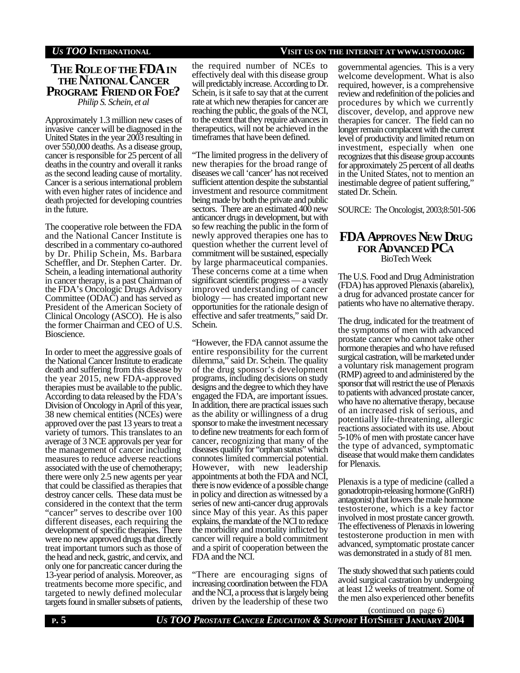## **THE ROLEOFTHE FDA IN THE NATIONAL CANCER PROGRAM: FRIENDOR FOE?**

*Philip S. Schein, et al*

Approximately 1.3 million new cases of invasive cancer will be diagnosed in the United States in the year 2003 resulting in over 550,000 deaths. As a disease group, cancer is responsible for 25 percent of all deaths in the country and overall it ranks as the second leading cause of mortality. Cancer is a serious international problem with even higher rates of incidence and death projected for developing countries in the future.

The cooperative role between the FDA and the National Cancer Institute is described in a commentary co-authored by Dr. Philip Schein, Ms. Barbara Scheffler, and Dr. Stephen Carter. Dr. Schein, a leading international authority in cancer therapy, is a past Chairman of the FDA's Oncologic Drugs Advisory Committee (ODAC) and has served as President of the American Society of Clinical Oncology (ASCO). He is also the former Chairman and CEO of U.S. Bioscience.

In order to meet the aggressive goals of the National Cancer Institute to eradicate death and suffering from this disease by the year 2015, new FDA-approved therapies must be available to the public. According to data released by the FDA's Division of Oncology in April of this year, 38 new chemical entities (NCEs) were approved over the past 13 years to treat a variety of tumors. This translates to an average of 3 NCE approvals per year for the management of cancer including measures to reduce adverse reactions associated with the use of chemotherapy; there were only 2.5 new agents per year that could be classified as therapies that destroy cancer cells. These data must be considered in the context that the term "cancer" serves to describe over 100 different diseases, each requiring the development of specific therapies. There were no new approved drugs that directly treat important tumors such as those of the head and neck, gastric, and cervix, and only one for pancreatic cancer during the 13-year period of analysis. Moreover, as treatments become more specific, and targeted to newly defined molecular targets found in smaller subsets of patients,

the required number of NCEs to effectively deal with this disease group will predictably increase. According to Dr. Schein, is it safe to say that at the current rate at which new therapies for cancer are reaching the public, the goals of the NCI, to the extent that they require advances in therapeutics, will not be achieved in the timeframes that have been defined.

"The limited progress in the delivery of new therapies for the broad range of diseases we call 'cancer' has not received sufficient attention despite the substantial investment and resource commitment being made by both the private and public sectors. There are an estimated 400 new anticancer drugs in development, but with so few reaching the public in the form of newly approved therapies one has to question whether the current level of commitment will be sustained, especially by large pharmaceutical companies. These concerns come at a time when significant scientific progress — a vastly improved understanding of cancer biology — has created important new opportunities for the rationale design of effective and safer treatments," said Dr. Schein.

"However, the FDA cannot assume the entire responsibility for the current dilemma," said Dr. Schein. The quality of the drug sponsor's development programs, including decisions on study designs and the degree to which they have engaged the FDA, are important issues. In addition, there are practical issues such as the ability or willingness of a drug sponsor to make the investment necessary to define new treatments for each form of cancer, recognizing that many of the diseases qualify for "orphan status" which connotes limited commercial potential. However, with new leadership appointments at both the FDA and NCI, there is now evidence of a possible change in policy and direction as witnessed by a series of new anti-cancer drug approvals since May of this year. As this paper explains, the mandate of the NCI to reduce the morbidity and mortality inflicted by cancer will require a bold commitment and a spirit of cooperation between the FDA and the NCI.

"There are encouraging signs of increasing coordination between the FDA and the NCI, a process that is largely being driven by the leadership of these two

#### governmental agencies. This is a very welcome development. What is also required, however, is a comprehensive review and redefinition of the policies and procedures by which we currently discover, develop, and approve new therapies for cancer. The field can no longer remain complacent with the current level of productivity and limited return on investment, especially when one recognizes that this disease group accounts for approximately 25 percent of all deaths in the United States, not to mention an

SOURCE: The Oncologist, 2003;8:501-506

inestimable degree of patient suffering,"

### **FDA APPROVES NEW DRUG FOR ADVANCED PCA** BioTech Week

The U.S. Food and Drug Administration (FDA) has approved Plenaxis (abarelix), a drug for advanced prostate cancer for patients who have no alternative therapy.

The drug, indicated for the treatment of the symptoms of men with advanced prostate cancer who cannot take other hormone therapies and who have refused surgical castration, will be marketed under a voluntary risk management program (RMP) agreed to and administered by the sponsor that will restrict the use of Plenaxis to patients with advanced prostate cancer, who have no alternative therapy, because of an increased risk of serious, and potentially life-threatening, allergic reactions associated with its use. About 5-10% of men with prostate cancer have the type of advanced, symptomatic disease that would make them candidates for Plenaxis.

Plenaxis is a type of medicine (called a gonadotropin-releasing hormone (GnRH) antagonist) that lowers the male hormone testosterone, which is a key factor involved in most prostate cancer growth. The effectiveness of Plenaxis in lowering testosterone production in men with advanced, symptomatic prostate cancer was demonstrated in a study of 81 men.

The study showed that such patients could avoid surgical castration by undergoing at least 12 weeks of treatment. Some of the men also experienced other benefits

(continued on page 6)

stated Dr. Schein.

**P. 5** *US TOO PROSTATE CANCER EDUCATION & SUPPORT* **HOTSHEET JANUARY 2004**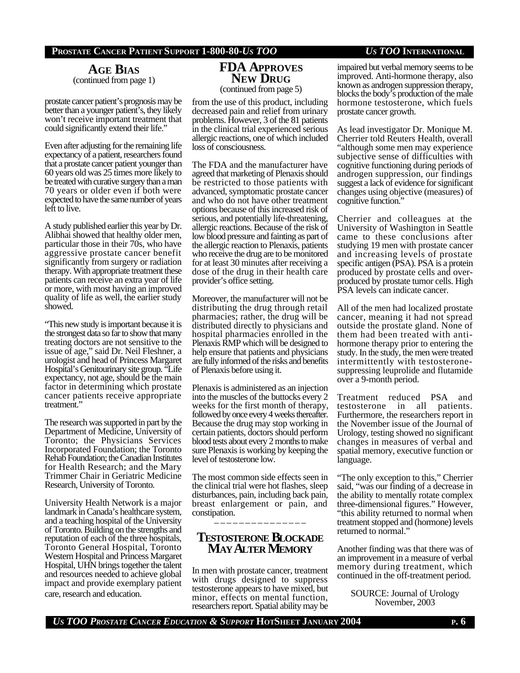**AGE BIAS** (continued from page 1)

prostate cancer patient's prognosis may be better than a younger patient's, they likely won't receive important treatment that could significantly extend their life."

Even after adjusting for the remaining life expectancy of a patient, researchers found that a prostate cancer patient younger than 60 years old was 25 times more likely to be treated with curative surgery than a man 70 years or older even if both were expected to have the same number of years left to live.

A study published earlier this year by Dr. Alibhai showed that healthy older men, particular those in their 70s, who have aggressive prostate cancer benefit significantly from surgery or radiation therapy. With appropriate treatment these patients can receive an extra year of life or more, with most having an improved quality of life as well, the earlier study showed.

"This new study is important because it is the strongest data so far to show that many treating doctors are not sensitive to the issue of age," said Dr. Neil Fleshner, a urologist and head of Princess Margaret Hospital's Genitourinary site group. "Life expectancy, not age, should be the main factor in determining which prostate cancer patients receive appropriate treatment."

The research was supported in part by the Department of Medicine, University of Toronto; the Physicians Services Incorporated Foundation; the Toronto Rehab Foundation; the Canadian Institutes for Health Research; and the Mary Trimmer Chair in Geriatric Medicine Research, University of Toronto.

University Health Network is a major landmark in Canada's healthcare system, and a teaching hospital of the University of Toronto. Building on the strengths and reputation of each of the three hospitals, Toronto General Hospital, Toronto Western Hospital and Princess Margaret Hospital, UHN brings together the talent and resources needed to achieve global impact and provide exemplary patient care, research and education.

# **FDA APPROVES NEW DRUG** (continued from page 5)

from the use of this product, including decreased pain and relief from urinary problems. However, 3 of the 81 patients in the clinical trial experienced serious allergic reactions, one of which included loss of consciousness.

The FDA and the manufacturer have agreed that marketing of Plenaxis should be restricted to those patients with advanced, symptomatic prostate cancer and who do not have other treatment options because of this increased risk of serious, and potentially life-threatening, allergic reactions. Because of the risk of low blood pressure and fainting as part of the allergic reaction to Plenaxis, patients who receive the drug are to be monitored for at least 30 minutes after receiving a dose of the drug in their health care provider's office setting.

Moreover, the manufacturer will not be distributing the drug through retail pharmacies; rather, the drug will be distributed directly to physicians and hospital pharmacies enrolled in the Plenaxis RMP which will be designed to help ensure that patients and physicians are fully informed of the risks and benefits of Plenaxis before using it.

Plenaxis is administered as an injection into the muscles of the buttocks every 2 weeks for the first month of therapy, followed by once every 4 weeks thereafter. Because the drug may stop working in certain patients, doctors should perform blood tests about every 2 months to make sure Plenaxis is working by keeping the level of testosterone low.

The most common side effects seen in the clinical trial were hot flashes, sleep disturbances, pain, including back pain, breast enlargement or pain, and constipation. ,........<br>\_\_\_\_\_\_\_\_\_\_\_\_\_\_\_\_\_

# **TESTOSTERONE BLOCKADE MAY ALTER MEMORY**

In men with prostate cancer, treatment with drugs designed to suppress testosterone appears to have mixed, but minor, effects on mental function, researchers report. Spatial ability may be

impaired but verbal memory seems to be improved. Anti-hormone therapy, also known as androgen suppression therapy, blocks the body's production of the male hormone testosterone, which fuels prostate cancer growth.

As lead investigator Dr. Monique M. Cherrier told Reuters Health, overall "although some men may experience subjective sense of difficulties with cognitive functioning during periods of androgen suppression, our findings suggest a lack of evidence for significant changes using objective (measures) of cognitive function."

Cherrier and colleagues at the University of Washington in Seattle came to these conclusions after studying 19 men with prostate cancer and increasing levels of prostate specific antigen (PSA). PSA is a protein produced by prostate cells and overproduced by prostate tumor cells. High PSA levels can indicate cancer.

All of the men had localized prostate cancer, meaning it had not spread outside the prostate gland. None of them had been treated with antihormone therapy prior to entering the study. In the study, the men were treated intermittently with testosteronesuppressing leuprolide and flutamide over a 9-month period.

Treatment reduced PSA and testosterone in all patients. Furthermore, the researchers report in the November issue of the Journal of Urology, testing showed no significant changes in measures of verbal and spatial memory, executive function or language.

"The only exception to this," Cherrier said, "was our finding of a decrease in the ability to mentally rotate complex three-dimensional figures." However, "this ability returned to normal when treatment stopped and (hormone) levels returned to normal."

Another finding was that there was of an improvement in a measure of verbal memory during treatment, which continued in the off-treatment period.

> SOURCE: Journal of Urology November, 2003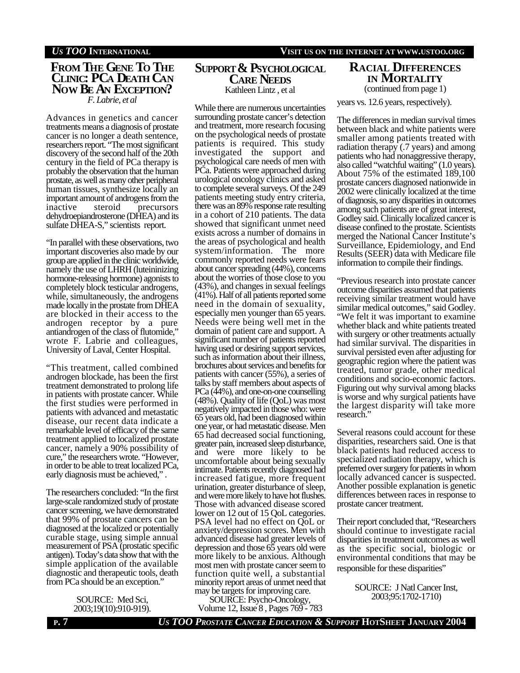#### *US TOO* **INTERNATIONAL VISIT US ON THE INTERNET AT WWW.USTOO.ORG**

## **FROM THE GENE TO THE CLINIC: PCA DEATH CAN NOW BE AN EXCEPTION?** *F. Labrie, et al*

Advances in genetics and cancer treatments means a diagnosis of prostate cancer is no longer a death sentence, researchers report. "The most significant discovery of the second half of the 20th century in the field of PCa therapy is probably the observation that the human prostate, as well as many other peripheral human tissues, synthesize locally an important amount of androgens from the inactive steroid precursors dehydroepiandrosterone (DHEA) and its sulfate DHEA-S," scientists report.

"In parallel with these observations, two important discoveries also made by our group are applied in the clinic worldwide, namely the use of LHRH (luteininizing hormone-releasing hormone) agonists to completely block testicular androgens, while, simultaneously, the androgens made locally in the prostate from DHEA are blocked in their access to the androgen receptor by a pure antiandrogen of the class of flutomide," wrote F. Labrie and colleagues, University of Laval, Center Hospital.

"This treatment, called combined androgen blockade, has been the first treatment demonstrated to prolong life in patients with prostate cancer. While the first studies were performed in patients with advanced and metastatic disease, our recent data indicate a remarkable level of efficacy of the same treatment applied to localized prostate cancer, namely a 90% possibility of cure," the researchers wrote. "However, in order to be able to treat localized PCa, early diagnosis must be achieved," .

The researchers concluded: "In the first large-scale randomized study of prostate cancer screening, we have demonstrated that 99% of prostate cancers can be diagnosed at the localized or potentially curable stage, using simple annual measurement of PSA (prostatic specific antigen). Today's data show that with the simple application of the available diagnostic and therapeutic tools, death from PCa should be an exception."

#### SOURCE: Med Sci, 2003;19(10):910-919).

### **SUPPORT & PSYCHOLOGICAL CARE NEEDS** Kathleen Lintz , et al

While there are numerous uncertainties surrounding prostate cancer's detection and treatment, more research focusing on the psychological needs of prostate patients is required. This study investigated the support and psychological care needs of men with PCa. Patients were approached during urological oncology clinics and asked to complete several surveys. Of the 249 patients meeting study entry criteria, there was an 89% response rate resulting in a cohort of 210 patients. The data showed that significant unmet need exists across a number of domains in the areas of psychological and health system/information. The more commonly reported needs were fears about cancer spreading (44%), concerns about the worries of those close to you (43%), and changes in sexual feelings (41%). Half of all patients reported some need in the domain of sexuality, especially men younger than 65 years. Needs were being well met in the domain of patient care and support. A significant number of patients reported having used or desiring support services, such as information about their illness, brochures about services and benefits for patients with cancer (55%), a series of talks by staff members about aspects of PCa (44%), and one-on-one counselling (48%). Quality of life (QoL) was most negatively impacted in those who: were 65 years old, had been diagnosed within one year, or had metastatic disease. Men 65 had decreased social functioning, greater pain, increased sleep disturbance, and were more likely to be uncomfortable about being sexually intimate. Patients recently diagnosed had increased fatigue, more frequent urination, greater disturbance of sleep, and were more likely to have hot flushes. Those with advanced disease scored lower on 12 out of 15 QoL categories. PSA level had no effect on QoL or anxiety/depression scores. Men with advanced disease had greater levels of depression and those 65 years old were more likely to be anxious. Although most men with prostate cancer seem to function quite well, a substantial minority report areas of unmet need that may be targets for improving care.

SOURCE: Psycho-Oncology, Volume 12, Issue 8 , Pages 769 - 783

### **RACIAL DIFFERENCES IN MORTALITY** (continued from page 1)

years vs. 12.6 years, respectively).

The differences in median survival times between black and white patients were smaller among patients treated with radiation therapy (.7 years) and among patients who had nonaggressive therapy, also called "watchful waiting" (1.0 years). About 75% of the estimated 189,100 prostate cancers diagnosed nationwide in 2002 were clinically localized at the time of diagnosis, so any disparities in outcomes among such patients are of great interest, Godley said. Clinically localized cancer is disease confined to the prostate. Scientists merged the National Cancer Institute's Surveillance, Epidemiology, and End Results (SEER) data with Medicare file information to compile their findings.

"Previous research into prostate cancer outcome disparities assumed that patients receiving similar treatment would have similar medical outcomes," said Godley. "We felt it was important to examine whether black and white patients treated with surgery or other treatments actually had similar survival. The disparities in survival persisted even after adjusting for geographic region where the patient was treated, tumor grade, other medical conditions and socio-economic factors. Figuring out why survival among blacks is worse and why surgical patients have the largest disparity will take more research."

Several reasons could account for these disparities, researchers said. One is that black patients had reduced access to specialized radiation therapy, which is preferred over surgery for patients in whom locally advanced cancer is suspected. Another possible explanation is genetic differences between races in response to prostate cancer treatment.

Their report concluded that, "Researchers should continue to investigate racial disparities in treatment outcomes as well as the specific social, biologic or environmental conditions that may be responsible for these disparities"

> SOURCE: J Natl Cancer Inst, 2003;95:1702-1710)